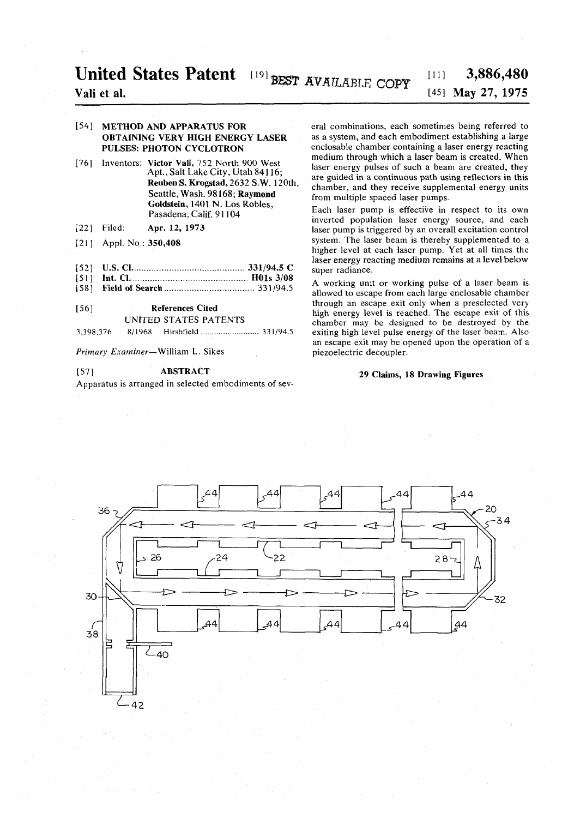# **United States Patent**  $[19]$  **BEST AVAILABLE COPY**  $[11]$  **3,886,480**

## **Vali et al. [45] May 27, 1975**

#### [54] METHOD AND APPARATUS FOR OBTAINING VERY HIGH ENERGY LASER PULSES: PHOTON CYCLOTRON

- [76] Inventors: Victor Vali, 752 North 900 West Apt., Salt Lake City, Utah 84116; Reuben S. Krogstad, 2632 S.W. 120th, Seattle, Wash. 98168; Raymond Goldstein, 1401 N. Los Robles, Pasadena, Calif. 91104
- [22] Filed: Apr. 12, 1973
- [21] Appl. No.: 350,408
- [52] U.S. CI 331/94.5 C
- [51] Int. CI HOls 3/08
- [58] Field of Search 331/94.5

#### [56] References Cited

UNITED STATES PATENTS

3,398,37 6 8/196 8 Hirshfield 331/94.5

*Primary Examiner—* William L. Sikes

#### [57] ABSTRACT

Apparatus is arranged in selected embodiments of sev-

eral combinations, each sometimes being referred to as a system, and each embodiment establishing a large enclosable chamber containing a laser energy reacting medium through which a laser beam is created. When laser energy pulses of such a beam are created, they are guided in a continuous path using reflectors in this chamber, and they receive supplemental energy units from multiple spaced laser pumps.

Each laser pump is effective in respect to its own inverted population laser energy source, and each laser pump is triggered by an overall excitation control system. The laser beam is thereby supplemented to a higher level at each laser pump. Yet at all times the laser energy reacting medium remains at a level below super radiance.

A working unit or working pulse of a laser beam is allowed to escape from each large enclosable chamber through an escape exit only when a preselected very high energy level is reached. The escape exit of this chamber may be designed to be destroyed by the exiting high level pulse energy of the laser beam. Also an escape exit may be opened upon the operation of a piezoelectric decoupler.

#### 29 Claims, 18 Drawing Figures



 $-42$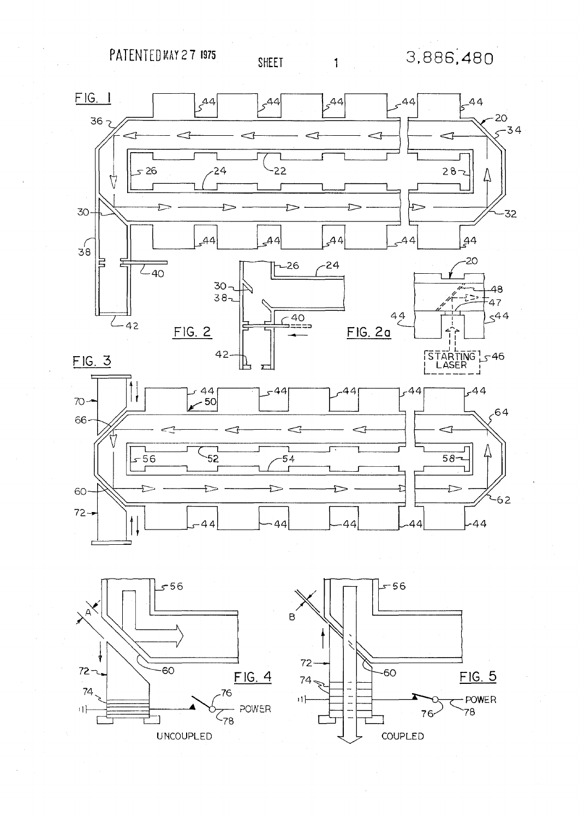PATENTED MAY 27 1975

 $\mathbf{1}$ 

3,886,480





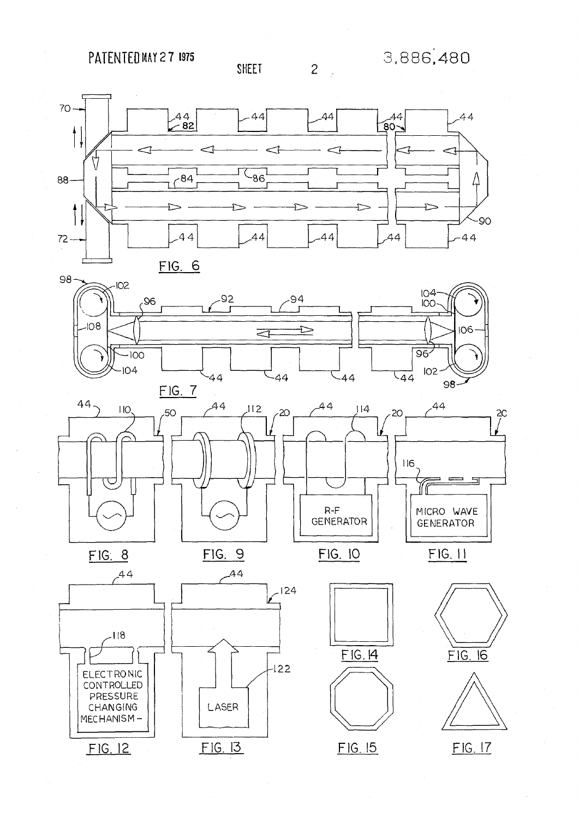PATENTED MAY 27 1975



2

SHEET





 $FIG. 8$ 







 $\frac{2}{\sqrt{2}}$ 

╗







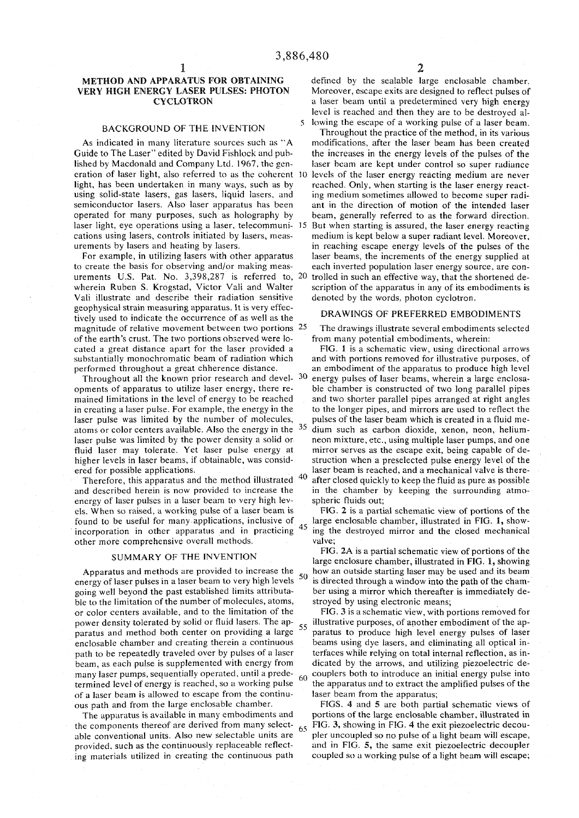#### METHOD AND APPARATUS FOR OBTAINING VERY HIGH ENERGY LASER PULSES: PHOTON CYCLOTRON

#### BACKGROUND OF THE INVENTION 5

As indicated in many literature sources such as "A Guide to The Laser" edited by David Fishlock and published by Macdonald and Company Ltd. 1967, the generation of laser light, also referred to as the coherent 10 light, has been undertaken in many ways, such as by using solid-state lasers, gas lasers, liquid lasers, and semiconductor lasers. Also laser apparatus has been operated for many purposes, such as holography by laser light, eye operations using a laser, telecommuni- 15 cations using lasers, controls initiated by lasers, measurements by lasers and heating by lasers.

For example, in utilizing lasers with other apparatus to create the basis for observing and/or making measurements U.S. Pat. No. 3,398,287 is referred to, 20 wherein Ruben S. Krogstad, Victor Vali and Walter Vali illustrate and describe their radiation sensitive geophysical strain measuring apparatus. It is very effectively used to indicate the occurrence of as well as the magnitude of relative movement between two portions 25 of the earth's crust. The two portions observed were located a great distance apart for the laser provided a substantially monochromatic beam of radiation which performed throughout a great chherence distance.

Throughout all the known prior research and devel- 30 opments of apparatus to utilize laser energy, there remained limitations in the level of energy to be reached in creating a laser pulse. For example, the energy in the laser pulse was limited by the number of molecules, atoms or color centers available. Also the energy in the  $35$ laser pulse was limited by the power density a solid or fluid laser may tolerate. Yet laser pulse energy at higher levels in laser beams, if obtainable, was considered for possible applications.

Therefore, this apparatus and the method illustrated and described herein is now provided to increase the energy of laser pulses in a laser beam to very high levels. When so raised, a working pulse of a laser beam is found to be useful for many applications, inclusive of incorporation in other apparatus and in practicing other more comprehensive overall methods.

#### SUMMARY OF THE INVENTION

Apparatus and methods are provided to increase the energy of laser pulses in a laser beam to very high levels 50 going well beyond the past established limits attributable to the limitation of the number of molecules, atoms, or color centers available, and to the limitation of the power density tolerated by solid or fluid lasers. The apparatus and method both center on providing a large enclosable chamber and creating therein a continuous path to be repeatedly traveled over by pulses of a laser beam, as each pulse is supplemented with energy from many laser pumps, sequentially operated, until a predetermined level of energy is reached, so a working pulse of a laser beam is allowed to escape from the continuous path and from the large enclosable chamber.

The apparatus is available in many embodiments and the components thereof are derived from many select- $\frac{65}{65}$ able conventional units. Also new selectable units are provided, such as the continuously replaceable reflecting materials utilized in creating the continuous path

defined by the scalable large enclosable chamber. Moreover, escape exits are designed to reflect pulses of a laser beam until a predetermined very high energy level is reached and then they are to be destroyed allowing the escape of a working pulse of a laser beam.

Throughout the practice of the method, in its various modifications, after the laser beam has been created the increases in the energy levels of the pulses of the laser beam are kept under control so super radiance levels of the laser energy reacting medium are never reached. Only, when starting is the laser energy reacting medium sometimes allowed to become super radiant in the direction of motion of the intended laser beam, generally referred to as the forward direction. But when starting is assured, the laser energy reacting medium is kept below a super radiant level. Moreover, in reaching escape energy levels of the pulses of the laser beams, the increments of the energy supplied at each inverted population laser energy source, are controlled in such an effective way, that the shortened description of the apparatus in any of its embodiments is denoted by the words, photon cyclotron.

#### DRAWINGS OF PREFERRED EMBODIMENTS

The drawings illustrate several embodiments selected from many potential embodiments, wherein:

40 FIG. 1 is a schematic view, using directional arrows and with portions removed for illustrative purposes, of an embodiment of the apparatus to produce high level energy pulses of laser beams, wherein a large enclosable chamber is constructed of two long parallel pipes and two shorter parallel pipes arranged at right angles to the longer pipes, and mirrors are used to reflect the pulses of the laser beam which is created in a fluid medium such as carbon dioxide, xenon, neon, heliumneon mixture, etc., using multiple laser pumps, and one mirror serves as the escape exit, being capable of destruction when a preselected pulse energy level of the laser beam is reached, and a mechanical valve is thereafter closed quickly to keep the fluid as pure as possible in the chamber by keeping the surrounding atmospheric fluids out;

FIG. 2 is a partial schematic view of portions of the large enclosable chamber, illustrated in FIG. 1, showing the destroyed mirror and the closed mechanical valve;

FIG. 2A is a partial schematic view of portions of the large enclosure chamber, illustrated in FIG. 1, showing how an outside starting laser may be used and its beam is directed through a window into the path of the chamber using a mirror which thereafter is immediately destroyed by using electronic means;

55 FIG. 3 is a schematic view, with portions removed for illustrative purposes, of another embodiment of the apparatus to produce high level energy pulses of laser beams using dye lasers, and eliminating all optical interfaces while relying on total internal reflection, as indicated by the arrows, and utilizing piezoelectric decouplers both to introduce an initial energy pulse into the apparatus and to extract the amplified pulses of the laser beam from the apparatus;

FIGS. 4 and 5 are both partial schematic views of portions of the large enclosable chamber, illustrated in FIG. 3, showing in FIG. 4 the exit piezoelectric decoupler uncoupled so no pulse of a light beam will escape, and in FIG. 5, the same exit piezoelectric decoupler coupled so a working pulse of a light beam will escape;

45

60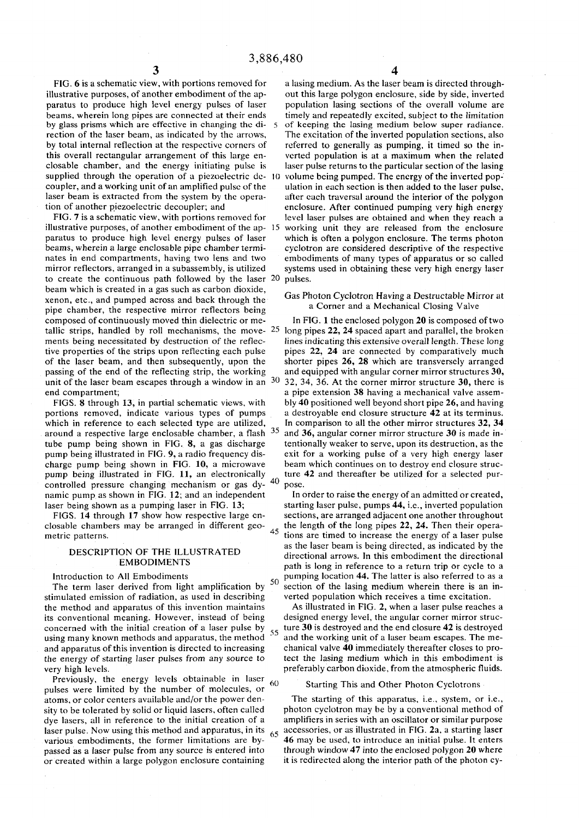FIG. 6 is a schematic view, with portions removed for illustrative purposes, of another embodiment of the apparatus to produce high level energy pulses of laser beams, wherein long pipes are connected at their ends by glass prisms which are effective in changing the direction of the laser beam, as indicated by the arrows, by total internal reflection at the respective corners of this overall rectangular arrangement of this large enclosable chamber, and the energy initiating pulse is supplied through the operation of a piezoelectric de-10 coupler, and a working unit of an amplified pulse of the laser beam is extracted from the system by the operation of another piezoelectric decoupler; and

FIG. 7 is a schematic view, with portions removed for illustrative purposes, of another embodiment of the ap- 15 paratus to produce high level energy pulses of laser beams, wherein a large enclosable pipe chamber terminates in end compartments, having two lens and two mirror reflectors, arranged in a subassembly, is utilized to create the continuous path followed by the laser beam which is created in a gas such as carbon dioxide, xenon, etc., and pumped across and back through the pipe chamber, the respective mirror reflectors being composed of continuously moved thin dielectric or metallic strips, handled by roll mechanisms, the movements being necessitated by destruction of the reflective properties of the strips upon reflecting each pulse of the laser beam, and then subsequently, upon the passing of the end of the reflecting strip, the working unit of the laser beam escapes through a window in an  $30$ end compartment;

FIGS. 8 through 13, in partial schematic views, with portions removed, indicate various types of pumps which in reference to each selected type are utilized, around a respective large enclosable chamber, a flash tube pump being shown in FIG. 8, a gas discharge pump being illustrated in FIG. 9, a radio frequency discharge pump being shown in FIG. 10, a microwave pump being illustrated in FIG. 11, an electronically controlled pressure changing mechanism or gas  $dy-40$ namic pump as shown in FIG. 12; and an independent laser being shown as a pumping laser in FIG. 13;

FIGS. 14 through 17 show how respective large enclosable chambers may be arranged in different geometric patterns.  $45$ 

#### DESCRIPTION OF THE ILLUSTRATED EMBODIMENTS

#### Introduction to All Embodiments

The term laser derived from light amplification by 50 stimulated emission of radiation, as used in describing the method and apparatus of this invention maintains its conventional meaning. However, instead of being concerned with the initial creation of a laser pulse by using many known methods and apparatus, the method and apparatus of this invention is directed to increasing the energy of starting laser pulses from any source to very high levels.

Previously, the energy levels obtainable in laser  $60$ pulses were limited by the number of molecules, or atoms, or color centers available and/or the power density to be tolerated by solid or liquid lasers, often called dye lasers, all in reference to the initial creation of a laser pulse. Now using this method and apparatus, in its various embodiments, the former limitations are bypassed as a laser pulse from any source is entered into or created within a large polygon enclosure containing

a lasing medium. As the laser beam is directed throughout this large polygon enclosure, side by side, inverted population lasing sections of the overall volume are timely and repeatedly excited, subject to the limitation of keeping the lasing medium below super radiance. The excitation of the inverted population sections, also referred to generally as pumping, it timed so the inverted population is at a maximum when the related laser pulse returns to the particular section of the lasing volume being pumped. The energy of the inverted population in each section is then added to the laser pulse, after each traversal around the interior of the polygon enclosure. After continued pumping very high energy level laser pulses are obtained and when they reach a working unit they are released from the enclosure which is often a polygon enclosure. The terms photon cyclotron are considered descriptive of the respective embodiments of many types of apparatus or so called systems used in obtaining these very high energy laser pulses.

#### Gas Photon Cyclotron Having a Destructable Mirror at a Corner and a Mechanical Closing Valve

In FIG. 1 the enclosed polygon 20 is composed of two long pipes 22, 24 spaced apart and parallel, the broken lines indicating this extensive overall length. These long pipes 22, 24 are connected by comparatively much shorter pipes 26, 28 which are transversely arranged and equipped with angular corner mirror structures 30, 32, 34, 36. At the corner mirror structure 30, there is a pipe extension 38 having a mechanical valve assembly 40 positioned well beyond short pipe 26, and having a destroyable end closure structure 42 at its terminus. In comparison to all the other mirror structures 32, 34 and 36, angular corner mirror structure 30 is made intentionally weaker to serve, upon its destruction, as the exit for a working pulse of a very high energy laser beam which continues on to destroy end closure structure 42 and thereafter be utilized for a selected purpose.

In order to raise the energy of an admitted or created, starting laser pulse, pumps 44, i.e., inverted population sections, are arranged adjacent one another throughout the length of the long pipes 22, 24. Then their opera tions are timed to increase the energy of a laser pulse as the laser beam is being directed, as indicated by the directional arrows. In this embodiment the directional path is long in reference to a return trip or cycle to a pumping location 44. The latter is also referred to as a section of the lasing medium wherein there is an inverted population which receives a time excitation.

As illustrated in FIG. 2, when a laser pulse reaches a designed energy level, the angular corner mirror struc- $55$  ture 30 is destroyed and the end closure 42 is destroyed and the working unit of a laser beam escapes. The mechanical valve 40 immediately thereafter closes to protect the lasing medium which in this embodiment is preferably carbon dioxide, from the atmospheric fluids.

#### Starting This and Other Photon Cyclotrons

The starting of this apparatus, i.e., system, or i.e., photon cyclotron may be by a conventional method of amplifiers in series with an oscillator or similar purpose  $65$  accessories, or as illustrated in FIG. 2a, a starting laser 46 may be used, to introduce an initial pulse. It enters through window 47 into the enclosed polygon 20 where it is redirected along the interior path of the photon cy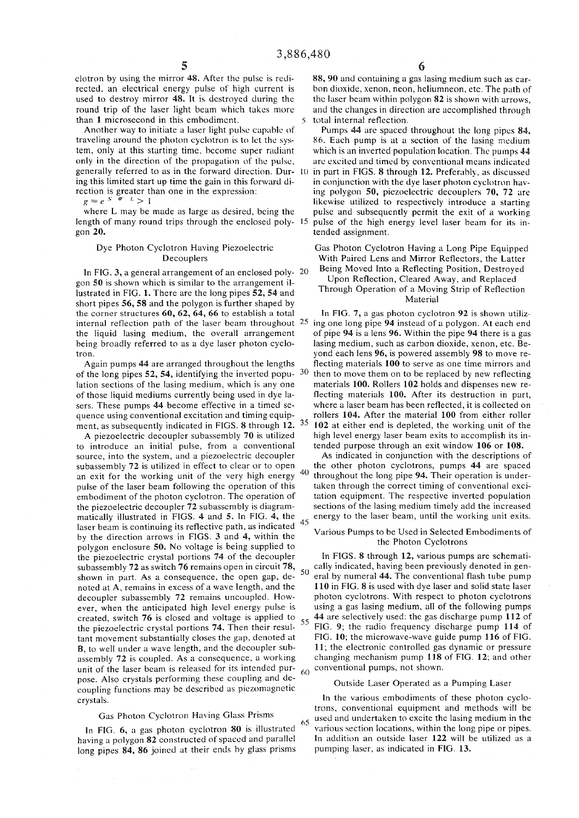clotron by using the mirror 48. After the pulse is redirected, an electrical energy pulse of high current is used to destroy mirror 48. It is destroyed during the round trip of the laser light beam which takes more than 1 microsecond in this embodiment. 5

Another way to initiate a laser light pulse capable of traveling around the photon cyclotron is to let the system, only at this starting time, become super radiant only in the direction of the propagation of the pulse, generally referred to as in the forward direction. Dur- 10 ing this limited start up time the gain in this forward direction is greater than one in the expression:

 $g = e^{N - \sigma}$   $l > 1$ 

where L may be made as large as desired, being the length of many round trips through the enclosed poly- 15 gon **20.** 

#### Dye Photon Cyclotron Having Piezoelectric Decouplers

In FIG. 3, a general arrangement of an enclosed poly- 20 gon 50 is shown which is similar to the arrangement illustrated in FIG. 1. There are the long pipes 52, 54 and short pipes  $56$ ,  $58$  and the polygon is further shaped by the corner structures 60, 62, 64, 66 to establish a total the liquid lasing medium, the overall arrangement being broadly referred to as a dye laser photon cyclotron.

Again pumps 44 are arranged throughout the lengths of the long pipes 52, 54, identifying the inverted popu- 30 lation sections of the lasing medium, which is any one of those liquid mediums currently being used in dye lasers. These pumps 44 become effective in a timed sequence using conventional excitation and timing equipment, as subsequently indicated in FIGS. 8 through 12.

A piezoelectric decoupler subassembly 70 is utilized to introduce an initial pulse, from a conventional source, into the system, and a piezoelectric decoupler subassembly 72 is utilized in effect to clear or to open an exit for the working unit of the very high energy pulse of the laser beam following the operation of this embodiment of the photon cyclotron. The operation of the piezoelectric decoupler 72 subassembly is diagrammatically illustrated in FIGS. 4 and 5. In FIG.  $4$ , the 45 laser beam is continuing its reflective path, as indicated by the direction arrows in FIGS. 3 and 4, within the polygon enclosure 50. No voltage is being supplied to the piezoelectric crystal portions 74 of the decoupler subassembly 72 as switch 76 remains open in circuit 78,  $\frac{1}{50}$ shown in part. As a consequence, the open gap, denoted at A, remains in excess of a wave length, and the decoupler subassembly 72 remains uncoupled. However, when the anticipated high level energy pulse- is created, switch 76 is closed and voltage is applied to the piezoelectric crystal portions 74. Then their resultant movement substantially closes the gap, denoted at B, to well under a wave length, and the decoupler subassembly 72 is coupled. As a consequence, a working unit of the laser beam is released for its intended pur- $60$ pose. Also crystals performing these coupling and decoupling functions may be described as piezomagnetic crystals.

### Gas Photon Cyclotron Having Glass Prisms

In FIG. 6, a gas photon cyclotron 80 is illustrated having a polygon 82 constructed of spaced and parallel long pipes 84, 86 joined at their ends by glass prisms

88, 90 and containing a gas lasing medium such as carbon dioxide, xenon, neon, heliumneon, etc. The path of the laser beam within polygon 82 is shown with arrows, and the changes in direction are accomplished through total internal reflection.

Pumps 44 are spaced throughout the long pipes 84, 86. Each pump is at a section of the lasing medium which is an inverted population location. The pumps 44 are excited and timed by conventional means indicated in part in FIGS. 8 through 12. Preferably, as discussed in conjunction with the dye laser photon cyclotron having polygon 50, piezoelectric decouplers 70, 72 are likewise utilized to respectively introduce a starting pulse and subsequently permit the exit of a working pulse of the high energy level laser beam for its intended assignment.

Gas Photon Cyclotron Having a Long Pipe Equipped With Paired Lens and Mirror Reflectors, the Latter Being Moved Into a Reflecting Position, Destroyed

#### Upon Reflection, Cleared Away, and Replaced Through Operation of a Moving Strip of Reflection Material

internal reflection path of the laser beam throughout <sup>25</sup> ing one long pipe 94 instead of a polygon. At each end In FIG. 7, a gas photon cyclotron 92 is shown utilizof pipe 94 is a lens 96. Within the pipe 94 there is a gas lasing medium, such as carbon dioxide, xenon, etc. Beyond each lens 96, is powered assembly 98 to move reflecting materials 100 to serve as one time mirrors and then to move them on to be replaced by new reflecting materials 100. Rollers 102 holds and dispenses new reflecting materials 100. After its destruction in part, where a laser beam has been reflected, it is collected on rollers 104. After the material 100 from either roller 102 at either end is depleted, the working unit of the high level energy laser beam exits to accomplish its intended purpose through an exit window 106 or 108.

40 As indicated in conjunction with the descriptions of the other photon cyclotrons, pumps 44 are spaced throughout the long pipe 94. Their operation is undertaken through the correct timing of conventional excitation equipment. The respective inverted population sections of the lasing medium timely add the increased energy to the laser beam, until the working unit exits.

#### Various Pumps to be Used in Selected Embodiments of the Photon Cyclotrons

In FIGS. 8 through 12, various pumps are schematically indicated, having been previously denoted in general by numeral 44. The conventional flash tube pump 110 in FIG. 8 is used with dye laser and solid state laser photon cyclotrons. With respect to photon cyclotrons using a gas lasing medium, all of the following pumps 44 are selectively used: the gas discharge pump 112 of 55 FIG. 9; the radio frequency discharge pump 114 of FIG. 10; the microwave-wave guide pump 116 of FIG. 11; the electronic controlled gas dynamic or pressure changing mechanism pump 118 of FIG. 12; and other conventional pumps, not shown.

#### Outside Laser Operated as a Pumping Laser

In the various embodiments of these photon cyclotrons, conventional equipment and methods will be used and undertaken to excite the lasing medium in the various section locations, within the long pipe or pipes. In addition an outside laser 122 will be utilized as a pumping laser, as indicated in FIG. 13.

65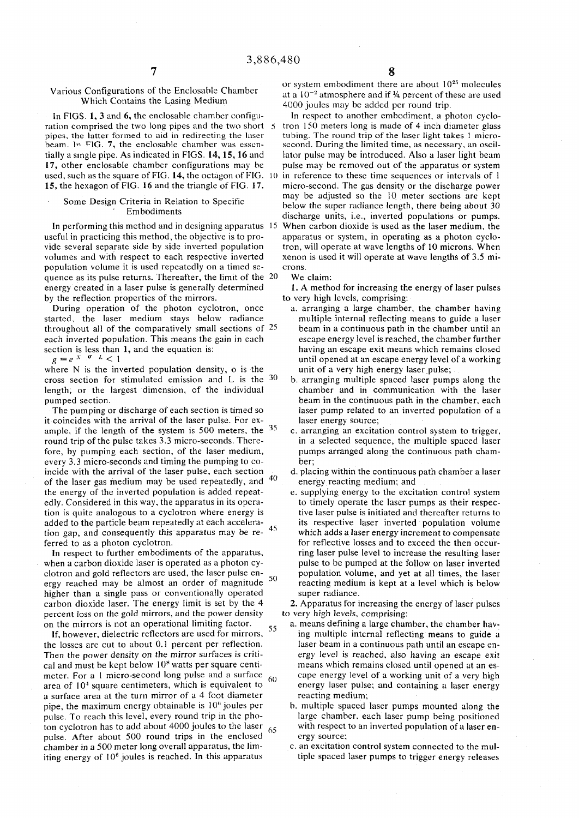Various Configurations of the Enclosable Chamber Which Contains the Lasing Medium

In FIGS.  $1, 3$  and  $6$ , the enclosable chamber configuration comprised the two long pipes and the two short 5 pipes, the latter formed to aid in redirecting the laser beam. In FIG. 7, the enclosable chamber was essentially a single pipe. As indicated in FIGS. 14, 15, 16 and 17, other enclosable chamber configurations may be used, such as the square of FIG. 14, the octagon of FIG. 10 15, the hexagon of FIG. 16 and the triangle of FIG. 17.

#### Some Design Criteria in Relation to Specific Embodiments

In performing this method and in designing apparatus 15 useful in practicing this method, the objective is to provide several separate side by side inverted population volumes and with respect to each respective inverted population volume it is used repeatedly on a timed sequence as its pulse returns. Thereafter, the limit of the 20 energy created in a laser pulse is generally determined by the reflection properties of the mirrors.

During operation of the photon cyclotron, once started, the laser medium stays below radiance throughout all of the comparatively small sections of 25 each inverted population. This means the gain in each section is less than 1, and the equation is:

 $g=e^{-X}$   $\sigma$   $L<1$ 

where N is the inverted population density, o is the cross section for stimulated emission and L is the 30 length, or the largest dimension, of the individual pumped section.

The pumping or discharge of each section is timed so it coincides with the arrival of the laser pulse. For example, if the length of the system is 500 meters, the  $35$ round trip of the pulse takes 3.3 micro-seconds. There fore, by pumping each section, of the laser medium, every 3.3 micro-seconds and timing the pumping to coincide with the arrival of the laser pulse, each section of the laser gas medium may be used repeatedly, and  $40$ the energy of the inverted population is added repeatedly. Considered in this way, the apparatus in its operation is quite analogous to a cyclotron where energy is added to the particle beam repeatedly at each acceleration gap, and consequently this apparatus may be re- $45$ ferred to as a photon cyclotron.

In respect to further embodiments of the apparatus, when a carbon dioxide laser is operated as a photon cyclotron and gold reflectors are used, the laser pulse en- ^ ergy reached may be almost an order of magnitude 50 higher than a single pass or conventionally operated carbon dioxide laser. The energy limit is set by the 4 percent loss on the gold mirrors, and the power density on the mirrors is not an operational limiting factor.

55 If, however, dielectric reflectors are used for mirrors, the losses are cut to about 0.1 percent per reflection. Then the power density on the mirror surfaces is critical and must be kept below  $10<sup>8</sup>$  watts per square centimeter. For a 1 micro-second long pulse and a surface 60 area of 10<sup>4</sup> square centimeters, which is equivalent to a surface area at the turn mirror of a 4 foot diameter pipe, the maximum energy obtainable is 10" joules per pulse. To reach this level, every round trip in the photon cyclotron has to add about 4000 joules to the laser  $65$ pulse. After about 500 round trips in the enclosed chamber in a 500 meter long overall apparatus, the lim- $\frac{1}{2}$  in this energy of  $10^6$  joules is reached. In this apparatus

or system embodiment there are about  $10^{25}$  molecules at a 10<sup>-2</sup> atmosphere and if 1/4 percent of these are used 4000 joules may be added per round trip.

In respect to another embodiment, a photon cyclotron 150 meters long is made of 4 inch diameter glass tubing. The round trip of the laser light takes 1 microsecond. During the limited time, as necessary, an oscillator pulse may be introduced. Also a laser light beam pulse may be removed out of the apparatus or system in reference to these time sequences or intervals of  $1$ micro-second. The gas density or the discharge power may be adjusted so the 10 meter sections are kept below the super radiance length, there being about 30 discharge units, i.e., inverted populations or pumps. When carbon dioxide is used as the laser medium, the apparatus or system, in operating as a photon cyclotron, will operate at wave lengths of 10 microns. When xenon is used it will operate at wave lengths of 3.5 microns.

#### We claim:

1. A method for increasing the energy of laser pulses to very high levels, comprising:

- a. arranging a large chamber, the chamber having multiple internal reflecting means to guide a laser beam in a continuous path in the chamber until an escape energy level is reached, the chamber further having an escape exit means which remains closed until opened at an escape energy level of a working unit of a very high energy laser pulse;
- b. arranging multiple spaced laser pumps along the chamber and in communication with the laser beam in the continuous path in the chamber, each laser pump related to an inverted population of a laser energy source;
- c. arranging an excitation control system to trigger, in a selected sequence, the multiple spaced laser pumps arranged along the continuous path chamber;
- d. placing within the continuous path chamber a laser energy reacting medium; and
- e. supplying energy to the excitation control system to timely operate the laser pumps as their respective laser pulse is initiated and thereafter returns to its respective laser inverted population volume which adds a laser energy increment to compensate for reflective losses and to exceed the then occurring laser pulse level to increase the resulting laser pulse to be pumped at the follow on laser inverted population volume, and yet at all times, the laser reacting medium is kept at a level which is below super radiance.

2. Apparatus for increasing the energy of laser pulses to very high levels, comprising:

- a. means defining a large chamber, the chamber having multiple internal reflecting means to guide a laser beam in a continuous path until an escape energy level is reached, also having an escape exit means which remains closed until opened at an escape energy level of a working unit of a very high energy laser pulse; and containing a laser energy reacting medium;
- b. multiple spaced laser pumps mounted along the large chamber, each laser pump being positioned with respect to an inverted population of a laser energy source;
- c. an excitation control system connected to the multiple spaced laser pumps to trigger energy releases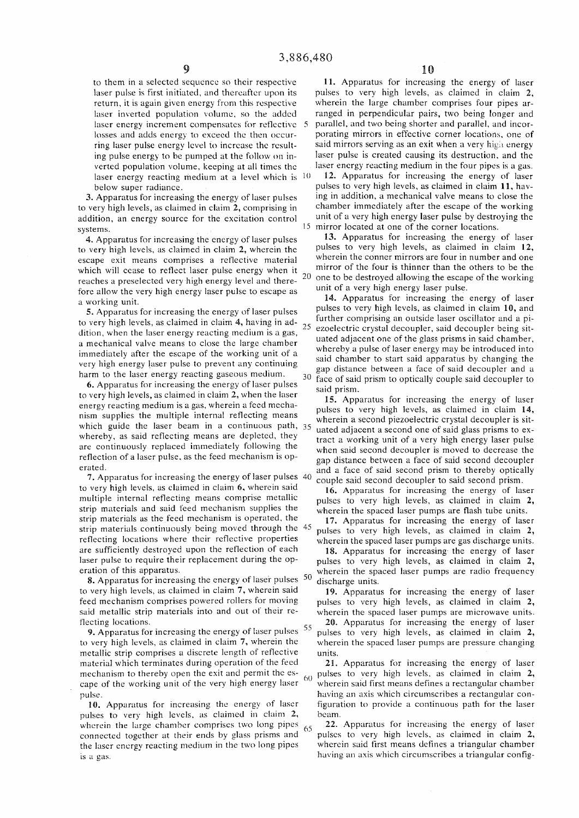to them in a selected sequence so their respective laser pulse is first initiated, and thereafter upon its return, it is again given energy from this respective laser inverted population volume, so the added laser energy increment compensates for reflective 5 losses and adds energy to exceed the then occurring laser pulse energy level to increase the resulting pulse energy to be pumped at the follow on inverted population volume, keeping at all times the laser energy reacting medium at a level which is  $10$ below super radiance.

3. Apparatus for increasing the energy of laser pulses to very high levels, as claimed in claim 2, comprising in addition, an energy source for the excitation control systems.  $15$ 

4. Apparatus for increasing the energy of laser pulses to very high levels, as claimed in claim 2, wherein the escape exit means comprises a reflective material which will cease to reflect laser pulse energy when it  $_{20}$ reaches a preselected very high energy level and therefore allow the very high energy laser pulse to escape as a working unit.

5. Apparatus for increasing the energy of laser pulses to very high levels, as claimed in claim 4, having in addition, when the laser energy reacting medium is a gas, a mechanical valve means to close the large chamber immediately after the escape of the working unit of a very high energy laser pulse to prevent any continuing harm to the laser energy reacting gaseous medium.

**6.** Apparatus for increasing the energy of laser pulses to very high levels, as claimed in claim 2, when the laser energy reacting medium is a gas, wherein a feed mechanism supplies the multiple internal reflecting means which guide the laser beam in a continuous path, 35 whereby, as said reflecting means are depleted, they are continuously replaced immediately following the reflection of a laser pulse, as the feed mechanism is operated.

7. Apparatus for increasing the energy of laser pulses to very high levels, as claimed in claim 6, wherein said multiple internal reflecting means comprise metallic strip materials and said feed mechanism supplies the strip materials as the feed mechanism is operated, the strip materials continuously being moved through the 45 reflecting locations where their reflective properties are sufficiently destroyed upon the reflection of each laser puise to require their replacement during the operation of this apparatus.

8. Apparatus for increasing the energy of laser pulses 50 to very high levels, as claimed in claim 7, wherein said feed mechanism comprises powered rollers for moving said metallic strip materials into and out of their reflecting locations.

**9.** Apparatus for increasing the energy of laser pulses  $55$ to very high levels, as claimed in claim 7, wherein the metallic strip comprises a discrete length of reflective material which terminates during operation of the feed mechanism to thereby open the exit and permit the esmechanism to thereby open the exit and permit the es-<br>cape of the working unit of the very high energy laser 60 pulse.

**10.** Apparatus for increasing the energy of laser pulses to very high levels, as claimed in claim 2, wherein the large chamber comprises two long pipes  $65$ connected together at their ends by glass prisms and the laser energy reacting medium in the two long pipes is a gas.

11. Apparatus for increasing the energy of laser pulses to very high levels, as claimed in claim 2, wherein the large chamber comprises four pipes arranged in perpendicular pairs, two being longer and parallel, and two being shorter and parallel, and incorporating mirrors in effective corner locations, one of said mirrors serving as an exit when a very high energy laser pulse is created causing its destruction, and the laser energy reacting medium in the four pipes is a gas.

12. Apparatus for increasing the energy of laser pulses to very high levels, as claimed in claim 11, having in addition, a mechanical valve means to close the chamber immediately after the escape of the working unit of a very high energy laser pulse by destroying the mirror located at one of the corner locations.

13. Apparatus for increasing the energy of laser pulses to very high levels, as claimed in claim 12, wherein the conner mirrors are four in number and one mirror of the four is thinner than the others to be the one to be destroyed allowing the escape of the working unit of a very high energy laser pulse.

14. Apparatus for increasing the energy of laser pulses to very high levels, as claimed in claim 10, and further comprising an outside laser oscillator and a pi-25 ezoelectric crystal decoupler, said decoupler being situated adjacent one of the glass prisms in said chamber, whereby a pulse of laser energy may be introduced into said chamber to start said apparatus by changing the gap distance between a face of said decoupler and a 30 face of said prism to optically couple said decoupler to said prism.

15. Apparatus for increasing the energy of laser pulses to very high levels, as claimed in claim 14, wherein a second piezoelectric crystal decoupler is situated adjacent a second one of said glass prisms to extract a working unit of a very high energy laser pulse when said second decoupler is moved to decrease the gap distance between a face of said second decoupler and a face of said second prism to thereby optically couple said second decoupler to said second prism.

16. Apparatus for increasing the energy of laser pulses to very high levels, as claimed in claim 2, wherein the spaced laser pumps are flash tube units.

17. Apparatus for increasing the energy of laser pulses to very high levels, as claimed in claim 2, wherein the spaced laser pumps are gas discharge units.

18. Apparatus for increasing the energy of laser pulses to very high levels, as claimed in claim 2, wherein the spaced laser pumps are radio frequency discharge units.

19. Apparatus for increasing the energy of laser pulses to very high levels, as claimed in claim 2, wherein the spaced laser pumps are microwave units.

20. Apparatus for increasing the energy of laser pulses to very high levels, as claimed in claim 2, wherein the spaced laser pumps are pressure changing units.

21. Apparatus for increasing the energy of laser pulses to very high levels, as claimed in claim 2, wherein said first means defines a rectangular chamber having an axis which circumscribes a rectangular configuration to provide a continuous path for the laser beam.

22. Apparatus for increasing the energy of laser pulses to very high levels, as claimed in claim 2, wherein said first means defines a triangular chamber having an axis which circumscribes a triangular config-